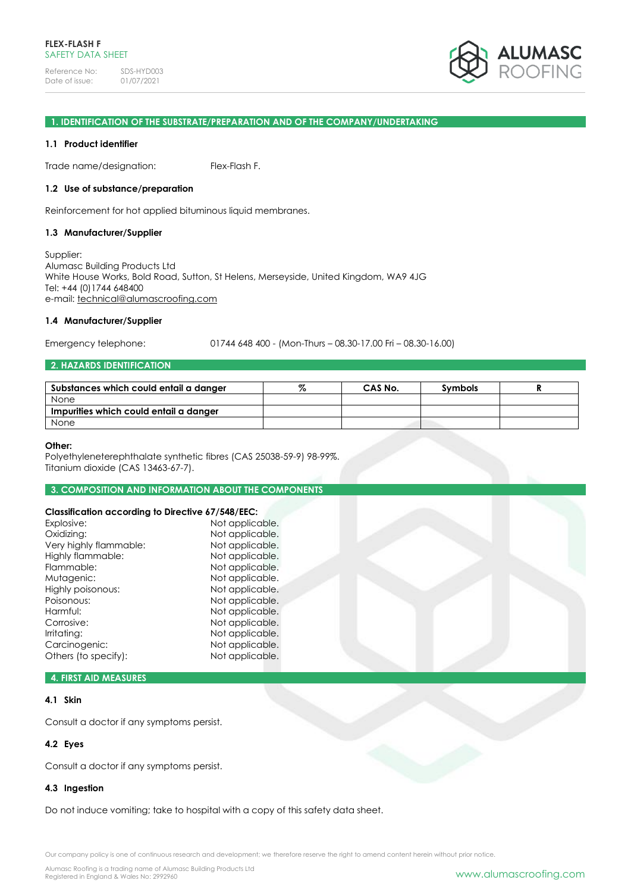Reference No: SDS-HYD003<br>Date of issue: 01/07/2021 Date of issue:



### **1. IDENTIFICATION OF THE SUBSTRATE/PREPARATION AND OF THE COMPANY/UNDERTAKING**

#### **1.1 Product identifier**

Trade name/designation: Flex-Flash F.

#### **1.2 Use of substance/preparation**

Reinforcement for hot applied bituminous liquid membranes.

#### **1.3 Manufacturer/Supplier**

Supplier: Alumasc Building Products Ltd White House Works, Bold Road, Sutton, St Helens, Merseyside, United Kingdom, WA9 4JG Tel: +44 (0)1744 648400 e-mail: [technical@alumascroofing.com](mailto:technical@alumascroofing.com)

#### **1.4 Manufacturer/Supplier**

Emergency telephone: 01744 648 400 - (Mon-Thurs – 08.30-17.00 Fri – 08.30-16.00)

## **2. HAZARDS IDENTIFICATION**

| Substances which could entail a danger | CAS No. | <b>Symbols</b> |  |
|----------------------------------------|---------|----------------|--|
| None                                   |         |                |  |
| Impurities which could entail a danger |         |                |  |
| None                                   |         |                |  |

#### **Other:**

Polyethyleneterephthalate synthetic fibres (CAS 25038-59-9) 98-99%. Titanium dioxide (CAS 13463-67-7).

#### **3. COMPOSITION AND INFORMATION ABOUT THE COMPONENTS**

## **Classification according to Directive 67/548/EEC:**

| Crussinguilor according to Directive 07/340/EEC. |                 |  |
|--------------------------------------------------|-----------------|--|
| Explosive:                                       | Not applicable. |  |
| Oxidizing:                                       | Not applicable. |  |
| Very highly flammable:                           | Not applicable. |  |
| Highly flammable:                                | Not applicable. |  |
| Flammable:                                       | Not applicable. |  |
| Mutagenic:                                       | Not applicable. |  |
| Highly poisonous:                                | Not applicable. |  |
| Poisonous:                                       | Not applicable. |  |
| Harmful:                                         | Not applicable. |  |
| Corrosive:                                       | Not applicable. |  |
| Irritating:                                      | Not applicable. |  |
| Carcinogenic:                                    | Not applicable. |  |
| Others (to specify):                             | Not applicable. |  |
|                                                  |                 |  |

## **4. FIRST AID MEASURES**

### **4.1 Skin**

Consult a doctor if any symptoms persist.

### **4.2 Eyes**

Consult a doctor if any symptoms persist.

### **4.3 Ingestion**

Do not induce vomiting; take to hospital with a copy of this safety data sheet.

Our company policy is one of continuous research and development; we therefore reserve the right to amend content herein without prior notice.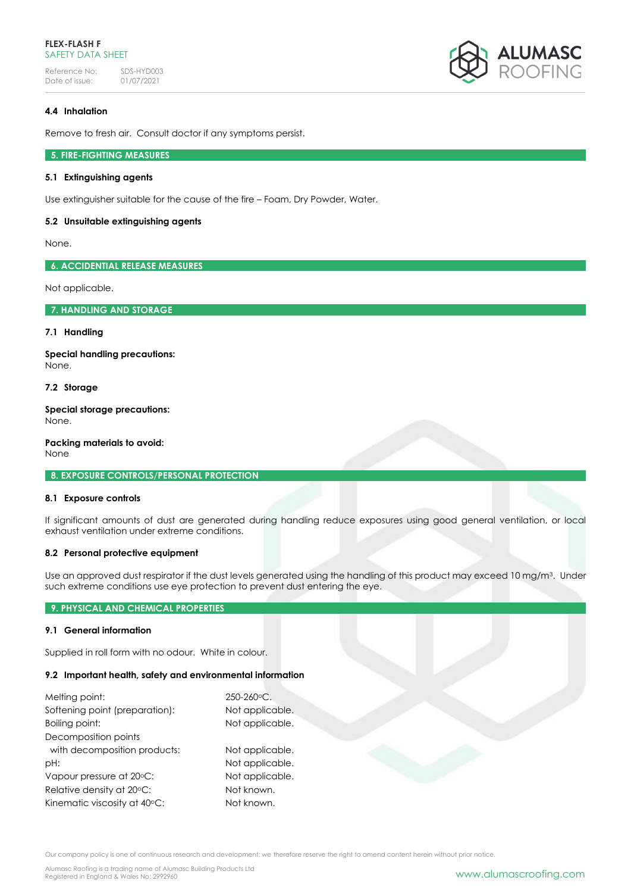### **FLEX-FLASH F** SAFETY DATA SHFFT

Reference No: SDS-HYD003<br>Date of issue: 01/07/2021 Date of issue:



## **4.4 Inhalation**

Remove to fresh air. Consult doctor if any symptoms persist.

## **5. FIRE-FIGHTING MEASURES**

## **5.1 Extinguishing agents**

Use extinguisher suitable for the cause of the fire – Foam, Dry Powder, Water.

### **5.2 Unsuitable extinguishing agents**

None.

**6. ACCIDENTIAL RELEASE MEASURES**

Not applicable.

**7. HANDLING AND STORAGE**

### **7.1 Handling**

**Special handling precautions:** None.

### **7.2 Storage**

**Special storage precautions:** None.

**Packing materials to avoid:** None

**8. EXPOSURE CONTROLS/PERSONAL PROTECTION**

### **8.1 Exposure controls**

If significant amounts of dust are generated during handling reduce exposures using good general ventilation, or local exhaust ventilation under extreme conditions.

### **8.2 Personal protective equipment**

Use an approved dust respirator if the dust levels generated using the handling of this product may exceed 10 mg/m3. Under such extreme conditions use eye protection to prevent dust entering the eye.

## **9. PHYSICAL AND CHEMICAL PROPERTIES**

### **9.1 General information**

Supplied in roll form with no odour. White in colour.

### **9.2 Important health, safety and environmental information**

| Melting point:<br>Softening point (preparation):<br>Boiling point: | $250 - 260$ °C.<br>Not applicable.<br>Not applicable. |  |
|--------------------------------------------------------------------|-------------------------------------------------------|--|
| Decomposition points                                               |                                                       |  |
| with decomposition products:                                       | Not applicable.                                       |  |
| pH:                                                                | Not applicable.                                       |  |
| Vapour pressure at 20°C:                                           | Not applicable.                                       |  |
| Relative density at 20°C:                                          | Not known.                                            |  |
| Kinematic viscosity at 40°C:                                       | Not known.                                            |  |

Our company policy is one of continuous research and development; we therefore reserve the right to amend content herein without prior notice.